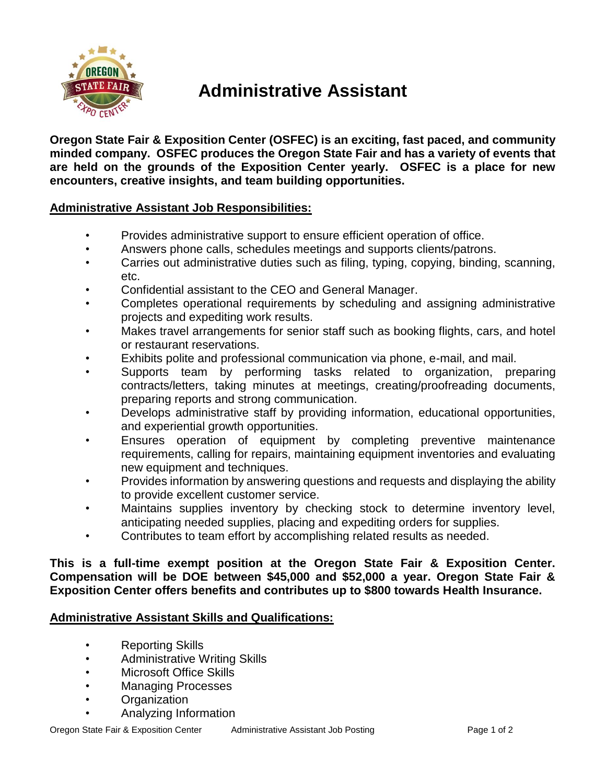

# **Administrative Assistant**

**Oregon State Fair & Exposition Center (OSFEC) is an exciting, fast paced, and community minded company. OSFEC produces the Oregon State Fair and has a variety of events that are held on the grounds of the Exposition Center yearly. OSFEC is a place for new encounters, creative insights, and team building opportunities.**

## **Administrative Assistant Job Responsibilities:**

- Provides administrative support to ensure efficient operation of office.
- Answers phone calls, schedules meetings and supports clients/patrons.
- Carries out administrative duties such as filing, typing, copying, binding, scanning, etc.
- Confidential assistant to the CEO and General Manager.
- Completes operational requirements by scheduling and assigning administrative projects and expediting work results.
- Makes travel arrangements for senior staff such as booking flights, cars, and hotel or restaurant reservations.
- Exhibits polite and professional communication via phone, e-mail, and mail.
- Supports team by performing tasks related to organization, preparing contracts/letters, taking minutes at meetings, creating/proofreading documents, preparing reports and strong communication.
- Develops administrative staff by providing information, educational opportunities, and experiential growth opportunities.
- Ensures operation of equipment by completing preventive maintenance requirements, calling for repairs, maintaining equipment inventories and evaluating new equipment and techniques.
- Provides information by answering questions and requests and displaying the ability to provide excellent customer service.
- Maintains supplies inventory by checking stock to determine inventory level, anticipating needed supplies, placing and expediting orders for supplies.
- Contributes to team effort by accomplishing related results as needed.

### **This is a full-time exempt position at the Oregon State Fair & Exposition Center. Compensation will be DOE between \$45,000 and \$52,000 a year. Oregon State Fair & Exposition Center offers benefits and contributes up to \$800 towards Health Insurance.**

### **Administrative Assistant Skills and Qualifications:**

- Reporting Skills
- Administrative Writing Skills
- Microsoft Office Skills
- Managing Processes
- Organization
- Analyzing Information